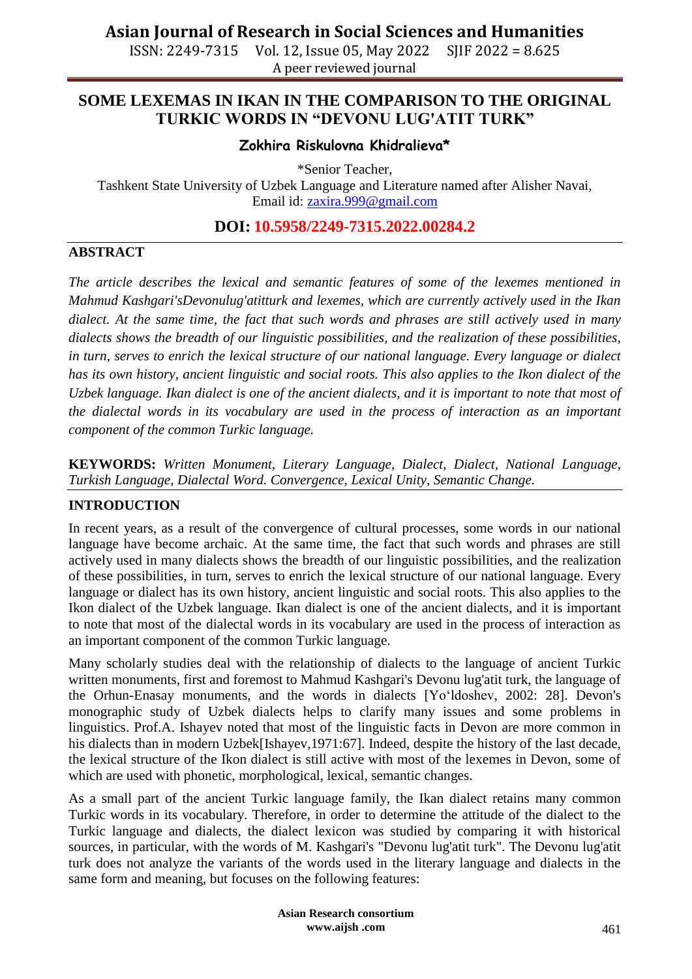ISSN: 2249-7315 Vol. 12, Issue 05, May 2022 SJIF 2022 = 8.625 A peer reviewed journal

## **SOME LEXEMAS IN IKAN IN THE COMPARISON TO THE ORIGINAL TURKIC WORDS IN "DEVONU LUG'ATIT TURK"**

### **Zokhira Riskulovna Khidralieva\***

\*Senior Teacher,

Tashkent State University of Uzbek Language and Literature named after Alisher Navai, Email id: [zaxira.999@gmail.com](mailto:zaxira.999@gmail.com)

**DOI: 10.5958/2249-7315.2022.00284.2**

### **ABSTRACT**

*The article describes the lexical and semantic features of some of the lexemes mentioned in Mahmud Kashgari'sDevonulug'atitturk and lexemes, which are currently actively used in the Ikan dialect. At the same time, the fact that such words and phrases are still actively used in many dialects shows the breadth of our linguistic possibilities, and the realization of these possibilities, in turn, serves to enrich the lexical structure of our national language. Every language or dialect has its own history, ancient linguistic and social roots. This also applies to the Ikon dialect of the Uzbek language. Ikan dialect is one of the ancient dialects, and it is important to note that most of the dialectal words in its vocabulary are used in the process of interaction as an important component of the common Turkic language.*

**KEYWORDS:** *Written Monument, Literary Language, Dialect, Dialect, National Language, Turkish Language, Dialectal Word. Convergence, Lexical Unity, Semantic Change.*

### **INTRODUCTION**

In recent years, as a result of the convergence of cultural processes, some words in our national language have become archaic. At the same time, the fact that such words and phrases are still actively used in many dialects shows the breadth of our linguistic possibilities, and the realization of these possibilities, in turn, serves to enrich the lexical structure of our national language. Every language or dialect has its own history, ancient linguistic and social roots. This also applies to the Ikon dialect of the Uzbek language. Ikan dialect is one of the ancient dialects, and it is important to note that most of the dialectal words in its vocabulary are used in the process of interaction as an important component of the common Turkic language.

Many scholarly studies deal with the relationship of dialects to the language of ancient Turkic written monuments, first and foremost to Mahmud Kashgari's Devonu lug'atit turk, the language of the Orhun-Enasay monuments, and the words in dialects [Yo"ldoshev, 2002: 28]. Devon's monographic study of Uzbek dialects helps to clarify many issues and some problems in linguistics. Prof.A. Ishayev noted that most of the linguistic facts in Devon are more common in his dialects than in modern Uzbek[Ishayev,1971:67]. Indeed, despite the history of the last decade, the lexical structure of the Ikon dialect is still active with most of the lexemes in Devon, some of which are used with phonetic, morphological, lexical, semantic changes.

As a small part of the ancient Turkic language family, the Ikan dialect retains many common Turkic words in its vocabulary. Therefore, in order to determine the attitude of the dialect to the Turkic language and dialects, the dialect lexicon was studied by comparing it with historical sources, in particular, with the words of M. Kashgari's "Devonu lug'atit turk". The Devonu lug'atit turk does not analyze the variants of the words used in the literary language and dialects in the same form and meaning, but focuses on the following features:

> **Asian Research consortium www.aijsh .com**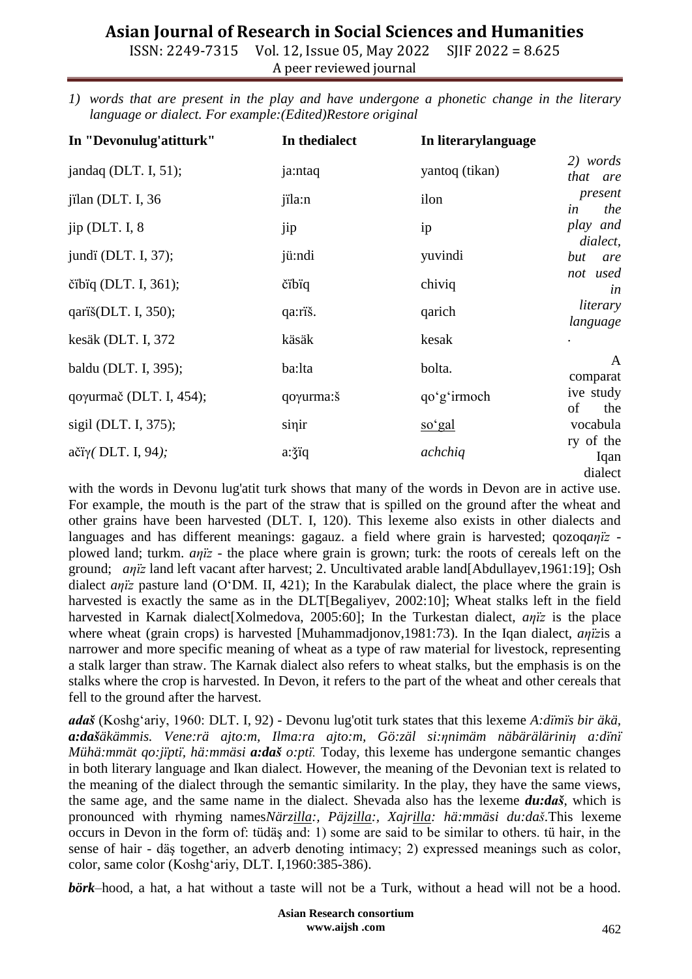## **Asian Journal of Research in Social Sciences and Humanities**

ISSN: 2249-7315 Vol. 12, Issue 05, May 2022 SJIF 2022 = 8.625 A peer reviewed journal

*1) words that are present in the play and have undergone a phonetic change in the literary language or dialect. For example:(Edited)Restore original*

| In "Devonulug'atitturk" | In the dialect | In literarylanguage |                              |
|-------------------------|----------------|---------------------|------------------------------|
| jandaq (DLT. I, 51);    | ja:ntaq        | yantoq (tikan)      | 2) words<br>that are         |
| jilan (DLT. I, 36       | jila:n         | ilon                | present<br>in<br>the         |
| jip (DLT. I, $8$        | jip            | ip                  | play and<br>dialect,         |
| jundi (DLT. I, 37);     | jü:ndi         | yuvindi             | but<br>are                   |
| čibiq (DLT. I, $361$ ); | čibiq          | chiviq              | not used<br>in               |
| qariš(DLT. I, 350);     | qa:riš.        | qarich              | literary<br>language         |
| kesäk (DLT. I, 372      | käsäk          | kesak               |                              |
| baldu (DLT. I, 395);    | ba:lta         | bolta.              | A<br>comparat                |
| qoγurmač (DLT. I, 454); | qoγurma: š     | qo'g'irmoch         | ive study<br>of<br>the       |
| sigil (DLT. I, 375);    | sinir          | so'gal              | vocabula                     |
| ačïγ(DLT. I, 94);       | a: jiq         | achchiq             | ry of the<br>Iqan<br>dialect |

with the words in Devonu lug'atit turk shows that many of the words in Devon are in active use. For example, the mouth is the part of the straw that is spilled on the ground after the wheat and other grains have been harvested (DLT. I, 120). This lexeme also exists in other dialects and languages and has different meanings: gagauz. a field where grain is harvested; qozoq*aηїz* plowed land; turkm. *aηїz* - the place where grain is grown; turk: the roots of cereals left on the ground; *aηїz* land left vacant after harvest; 2. Uncultivated arable land[Abdullayev,1961:19]; Osh dialect *aηїz* pasture land (O"DM. II, 421); In the Karabulak dialect, the place where the grain is harvested is exactly the same as in the DLT[Begaliyev, 2002:10]; Wheat stalks left in the field harvested in Karnak dialect[Xolmedova, 2005:60]; In the Turkestan dialect, *anjz* is the place where wheat (grain crops) is harvested [Muhammadjonov,1981:73). In the Iqan dialect, *aηїz*is a narrower and more specific meaning of wheat as a type of raw material for livestock, representing a stalk larger than straw. The Karnak dialect also refers to wheat stalks, but the emphasis is on the stalks where the crop is harvested. In Devon, it refers to the part of the wheat and other cereals that fell to the ground after the harvest.

*adaš* (Koshg"ariy, 1960: DLT. I, 92) - Devonu lug'otit turk states that this lexeme *A:dїmїs bir äkä, a:dašäkämmis. Vene:rä ajto:m, Ilma:ra ajto:m, Gö:zäl si:ηnimäm näbäräläriniη a:dїnї Mühä:mmät qo:jїptї, hä:mmäsi a:daš o:ptї.* Today, this lexeme has undergone semantic changes in both literary language and Ikan dialect. However, the meaning of the Devonian text is related to the meaning of the dialect through the semantic similarity. In the play, they have the same views, the same age, and the same name in the dialect. Shevada also has the lexeme *du:daš*, which is pronounced with rhyming names*Närzilla:, Päjzilla:, Xajrilla: hä:mmäsi du:daš.*This lexeme occurs in Devon in the form of: tüdäş and: 1) some are said to be similar to others. tü hair, in the sense of hair - däş together, an adverb denoting intimacy; 2) expressed meanings such as color, color, same color (Koshg"ariy, DLT. I,1960:385-386).

*börk*–hood, a hat, a hat without a taste will not be a Turk, without a head will not be a hood.

**Asian Research consortium www.aijsh .com**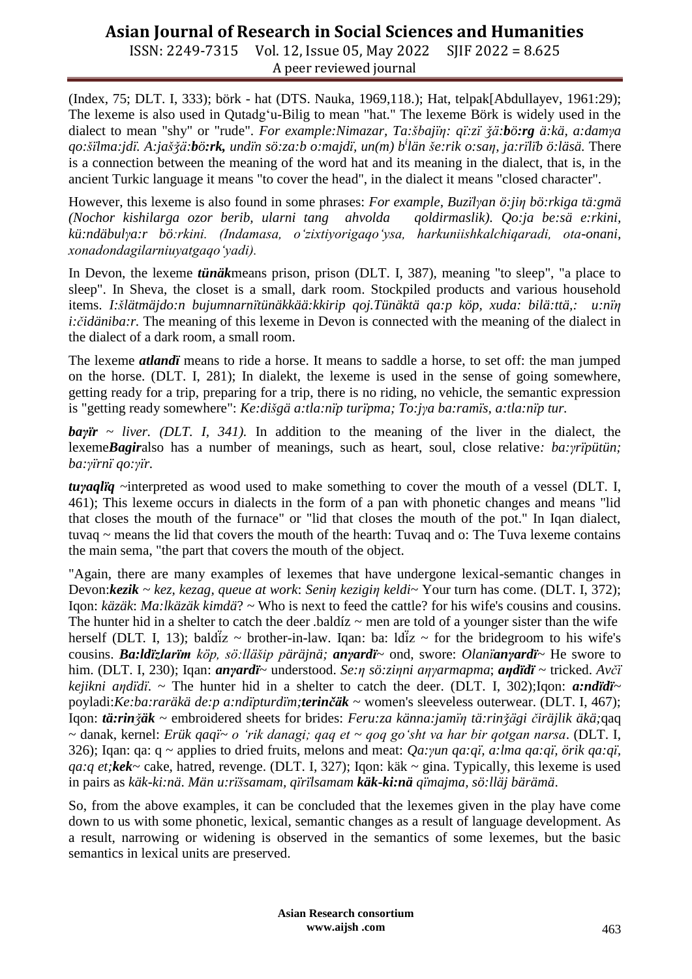# **Asian Journal of Research in Social Sciences and Humanities**

ISSN: 2249-7315 Vol. 12, Issue 05, May 2022 SJIF 2022 = 8.625 A peer reviewed journal

(Index, 75; DLT. I, 333); börk - hat (DTS. Nauka, 1969,118.); Hat, telpak[Abdullayev, 1961:29); The lexeme is also used in Qutadg"u-Bilig to mean "hat." The lexeme Börk is widely used in the dialect to mean "shy" or "rude". *For example:Nimazar, Ta:šbajїη: qї:zї ǯä:bö:rg ä:kä, a:damγa qo:šїlma:jdї. A:jašǯä:bö:rk, undїn sö:za:b o:majdї, un(m) b<sup>i</sup> län še:rik o:saη, ja:rїlїb ö:läsä.* There is a connection between the meaning of the word hat and its meaning in the dialect, that is, in the ancient Turkic language it means "to cover the head", in the dialect it means "closed character".

However, this lexeme is also found in some phrases: *For example, Buzїlγan ö:jiη bö:rkiga tä:gmä (Nochor kishilarga ozor berib, ularni tang ahvolda qoldirmaslik). Qo:ja be:sä e:rkini, kü:ndäbulγa:r bö:rkini. (Indamasa, o'zixtiyorigaqo'ysa, harkuniishkalchiqaradi, ota-onani, xonadondagilarniuyatgaqo'yadi).* 

In Devon, the lexeme *tünäk*means prison, prison (DLT. I, 387), meaning "to sleep", "a place to sleep". In Sheva, the closet is a small, dark room. Stockpiled products and various household items. *I:šlätmäjdo:n bujumnarnїtünäkkää:kkirip qoj.Tünäktä qa:p köp, xuda: bilä:ttä,: u:nїη i:čidäniba:r.* The meaning of this lexeme in Devon is connected with the meaning of the dialect in the dialect of a dark room, a small room.

The lexeme *atlandï* means to ride a horse. It means to saddle a horse, to set off: the man jumped on the horse. (DLT. I, 281); In dialekt, the lexeme is used in the sense of going somewhere, getting ready for a trip, preparing for a trip, there is no riding, no vehicle, the semantic expression is "getting ready somewhere": *Ke:dišgä a:tla:nїp turїpma; To:jγa ba:ramїs, a:tla:nїp tur.*

*baγїr ~ liver. (DLT. I, 341).* In addition to the meaning of the liver in the dialect, the lexeme*Bagir*also has a number of meanings, such as heart, soul, close relative*: ba:γrїpütün; ba:γїrnї qo:γїr.*

*tuγaqlїq ~*interpreted as wood used to make something to cover the mouth of a vessel (DLT. I, 461); This lexeme occurs in dialects in the form of a pan with phonetic changes and means "lid that closes the mouth of the furnace" or "lid that closes the mouth of the pot." In Iqan dialect, tuvaq  $\sim$  means the lid that covers the mouth of the hearth: Tuvaq and o: The Tuva lexeme contains the main sema, "the part that covers the mouth of the object.

"Again, there are many examples of lexemes that have undergone lexical-semantic changes in Devon:*kezik ~ kez, kezag, queue at work*: *Seniη kezigiη keldi*~ Your turn has come. (DLT. I, 372); Iqon: *käzäk*: *Ma:lkäzäk kimdä*? ~ Who is next to feed the cattle? for his wife's cousins and cousins. The hunter hid in a shelter to catch the deer .baldíz  $\sim$  men are told of a younger sister than the wife herself (DLT. I, 13); bald $\overline{a}z \sim$  brother-in-law. Iqan: ba: ld $\overline{a}z \sim$  for the bridegroom to his wife's cousins. *Ba:ldїzlarїm köp, sö:lläšip päräjnä; anγardї*~ ond, swore: *Olanїanγardї~* He swore to him. (DLT. I, 230); Iqan: *anγardї*~ understood. *Se:η sö:ziηni aηγarmapma*; *aηdїdї* ~ tricked. *Avčї kejikni aηdїdї*. ~ The hunter hid in a shelter to catch the deer. (DLT. I, 302);Iqon: *a:ndїdї~* poyladi:*Ke:ba:raräkä de:p a:ndїpturdїm;terinčäk* ~ women's sleeveless outerwear. (DLT. I, 467); Iqon: *tä:rinǯäk* ~ embroidered sheets for brides: *Feru:za känna:jamїη tä:rinǯägi čiräjlik äkä;*qaq ~ danak, kernel: *Erük qaqї~ o 'rik danagi; qaq et ~ qoq go'sht va har bir qotgan narsa*. (DLT. I, 326); Iqan: qa: q ~ applies to dried fruits, melons and meat: *Qa:γun qa:qї, a:lma qa:qї, örik qa:qї, qa:q et;kek*~ cake, hatred, revenge. (DLT. I, 327); Iqon: käk ~ gina. Typically, this lexeme is used in pairs as *käk-ki:nä*. *Män u:rїšsamam, qїrїlsamam käk***-***ki:nä qїmajma, sö:lläj bärämä*.

So, from the above examples, it can be concluded that the lexemes given in the play have come down to us with some phonetic, lexical, semantic changes as a result of language development. As a result, narrowing or widening is observed in the semantics of some lexemes, but the basic semantics in lexical units are preserved.